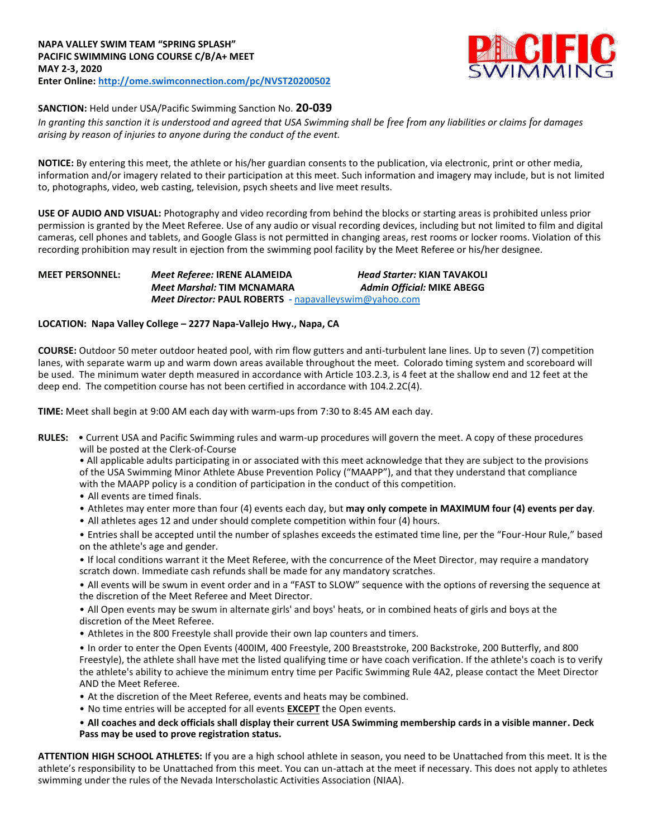

# **SANCTION:** Held under USA/Pacific Swimming Sanction No. **20-039**

*In granting this sanction it is understood and agreed that USA Swimming shall be free from any liabilities or claims for damages arising by reason of injuries to anyone during the conduct of the event.*

**NOTICE:** By entering this meet, the athlete or his/her guardian consents to the publication, via electronic, print or other media, information and/or imagery related to their participation at this meet. Such information and imagery may include, but is not limited to, photographs, video, web casting, television, psych sheets and live meet results.

**USE OF AUDIO AND VISUAL:** Photography and video recording from behind the blocks or starting areas is prohibited unless prior permission is granted by the Meet Referee. Use of any audio or visual recording devices, including but not limited to film and digital cameras, cell phones and tablets, and Google Glass is not permitted in changing areas, rest rooms or locker rooms. Violation of this recording prohibition may result in ejection from the swimming pool facility by the Meet Referee or his/her designee.

## **MEET PERSONNEL:** *Meet Referee:* **IRENE ALAMEIDA** *Head Starter:* **KIAN TAVAKOLI** *Meet Marshal:* **TIM MCNAMARA** *Admin Official:* **MIKE ABEGG** *Meet Director:* **PAUL ROBERTS -** [napavalleyswim@yahoo.com](mailto:napavalleyswim@yahoo.com)

### **LOCATION: Napa Valley College – 2277 Napa-Vallejo Hwy., Napa, CA**

**COURSE:** Outdoor 50 meter outdoor heated pool, with rim flow gutters and anti-turbulent lane lines. Up to seven (7) competition lanes, with separate warm up and warm down areas available throughout the meet. Colorado timing system and scoreboard will be used. The minimum water depth measured in accordance with Article 103.2.3, is 4 feet at the shallow end and 12 feet at the deep end. The competition course has not been certified in accordance with 104.2.2C(4).

**TIME:** Meet shall begin at 9:00 AM each day with warm-ups from 7:30 to 8:45 AM each day.

**RULES:** • Current USA and Pacific Swimming rules and warm-up procedures will govern the meet. A copy of these procedures will be posted at the Clerk-of-Course

• All applicable adults participating in or associated with this meet acknowledge that they are subject to the provisions of the USA Swimming Minor Athlete Abuse Prevention Policy ("MAAPP"), and that they understand that compliance with the MAAPP policy is a condition of participation in the conduct of this competition.

- All events are timed finals.
- Athletes may enter more than four (4) events each day, but **may only compete in MAXIMUM four (4) events per day**.
- All athletes ages 12 and under should complete competition within four (4) hours.

• Entries shall be accepted until the number of splashes exceeds the estimated time line, per the "Four-Hour Rule," based on the athlete's age and gender.

• If local conditions warrant it the Meet Referee, with the concurrence of the Meet Director, may require a mandatory scratch down. Immediate cash refunds shall be made for any mandatory scratches.

• All events will be swum in event order and in a "FAST to SLOW" sequence with the options of reversing the sequence at the discretion of the Meet Referee and Meet Director.

• All Open events may be swum in alternate girls' and boys' heats, or in combined heats of girls and boys at the discretion of the Meet Referee.

• Athletes in the 800 Freestyle shall provide their own lap counters and timers.

• In order to enter the Open Events (400IM, 400 Freestyle, 200 Breaststroke, 200 Backstroke, 200 Butterfly, and 800 Freestyle), the athlete shall have met the listed qualifying time or have coach verification. If the athlete's coach is to verify the athlete's ability to achieve the minimum entry time per Pacific Swimming Rule 4A2, please contact the Meet Director AND the Meet Referee.

- At the discretion of the Meet Referee, events and heats may be combined.
- No time entries will be accepted for all events **EXCEPT** the Open events.

### • **All coaches and deck officials shall display their current USA Swimming membership cards in a visible manner. Deck Pass may be used to prove registration status.**

**ATTENTION HIGH SCHOOL ATHLETES:** If you are a high school athlete in season, you need to be Unattached from this meet. It is the athlete's responsibility to be Unattached from this meet. You can un-attach at the meet if necessary. This does not apply to athletes swimming under the rules of the Nevada Interscholastic Activities Association (NIAA).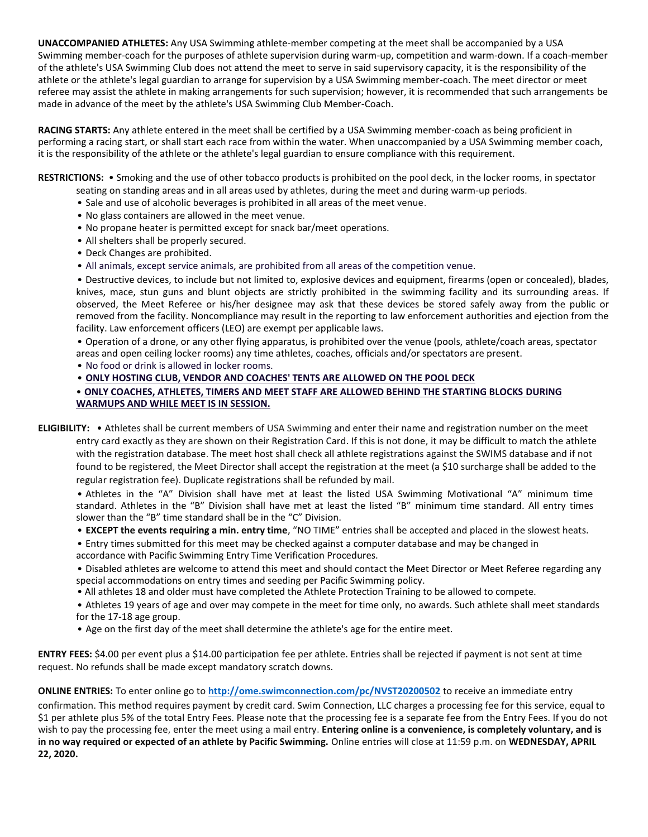**UNACCOMPANIED ATHLETES:** Any USA Swimming athlete-member competing at the meet shall be accompanied by a USA Swimming member-coach for the purposes of athlete supervision during warm-up, competition and warm-down. If a coach-member of the athlete's USA Swimming Club does not attend the meet to serve in said supervisory capacity, it is the responsibility of the athlete or the athlete's legal guardian to arrange for supervision by a USA Swimming member-coach. The meet director or meet referee may assist the athlete in making arrangements for such supervision; however, it is recommended that such arrangements be made in advance of the meet by the athlete's USA Swimming Club Member-Coach.

**RACING STARTS:** Any athlete entered in the meet shall be certified by a USA Swimming member-coach as being proficient in performing a racing start, or shall start each race from within the water. When unaccompanied by a USA Swimming member coach, it is the responsibility of the athlete or the athlete's legal guardian to ensure compliance with this requirement.

**RESTRICTIONS:** • Smoking and the use of other tobacco products is prohibited on the pool deck, in the locker rooms, in spectator

- seating on standing areas and in all areas used by athletes, during the meet and during warm-up periods.
- Sale and use of alcoholic beverages is prohibited in all areas of the meet venue.
- No glass containers are allowed in the meet venue.
- No propane heater is permitted except for snack bar/meet operations.
- All shelters shall be properly secured.
- Deck Changes are prohibited.
- All animals, except service animals, are prohibited from all areas of the competition venue.

• Destructive devices, to include but not limited to, explosive devices and equipment, firearms (open or concealed), blades, knives, mace, stun guns and blunt objects are strictly prohibited in the swimming facility and its surrounding areas. If observed, the Meet Referee or his/her designee may ask that these devices be stored safely away from the public or removed from the facility. Noncompliance may result in the reporting to law enforcement authorities and ejection from the facility. Law enforcement officers (LEO) are exempt per applicable laws.

• Operation of a drone, or any other flying apparatus, is prohibited over the venue (pools, athlete/coach areas, spectator areas and open ceiling locker rooms) any time athletes, coaches, officials and/or spectators are present.

• No food or drink is allowed in locker rooms.

• **ONLY HOSTING CLUB, VENDOR AND COACHES' TENTS ARE ALLOWED ON THE POOL DECK**

#### • **ONLY COACHES, ATHLETES, TIMERS AND MEET STAFF ARE ALLOWED BEHIND THE STARTING BLOCKS DURING WARMUPS AND WHILE MEET IS IN SESSION.**

**ELIGIBILITY:** • Athletes shall be current members of USA Swimming and enter their name and registration number on the meet entry card exactly as they are shown on their Registration Card. If this is not done, it may be difficult to match the athlete with the registration database. The meet host shall check all athlete registrations against the SWIMS database and if not found to be registered, the Meet Director shall accept the registration at the meet (a \$10 surcharge shall be added to the regular registration fee). Duplicate registrations shall be refunded by mail.

• Athletes in the "A" Division shall have met at least the listed USA Swimming Motivational "A" minimum time standard. Athletes in the "B" Division shall have met at least the listed "B" minimum time standard. All entry times slower than the "B" time standard shall be in the "C" Division.

• **EXCEPT the events requiring a min. entry time**, "NO TIME" entries shall be accepted and placed in the slowest heats.

- Entry times submitted for this meet may be checked against a computer database and may be changed in
- accordance with Pacific Swimming Entry Time Verification Procedures.

• Disabled athletes are welcome to attend this meet and should contact the Meet Director or Meet Referee regarding any special accommodations on entry times and seeding per Pacific Swimming policy.

• All athletes 18 and older must have completed the Athlete Protection Training to be allowed to compete.

• Athletes 19 years of age and over may compete in the meet for time only, no awards. Such athlete shall meet standards for the 17-18 age group.

• Age on the first day of the meet shall determine the athlete's age for the entire meet.

**ENTRY FEES:** \$4.00 per event plus a \$14.00 participation fee per athlete. Entries shall be rejected if payment is not sent at time request. No refunds shall be made except mandatory scratch downs.

**ONLINE ENTRIES:** To enter online go to **<http://ome.swimconnection.com/pc/NVST20200502>** to receive an immediate entry

confirmation. This method requires payment by credit card. Swim Connection, LLC charges a processing fee for this service, equal to \$1 per athlete plus 5% of the total Entry Fees. Please note that the processing fee is a separate fee from the Entry Fees. If you do not wish to pay the processing fee, enter the meet using a mail entry. **Entering online is a convenience, is completely voluntary, and is in no way required or expected of an athlete by Pacific Swimming.** Online entries will close at 11:59 p.m. on **WEDNESDAY, APRIL 22, 2020.**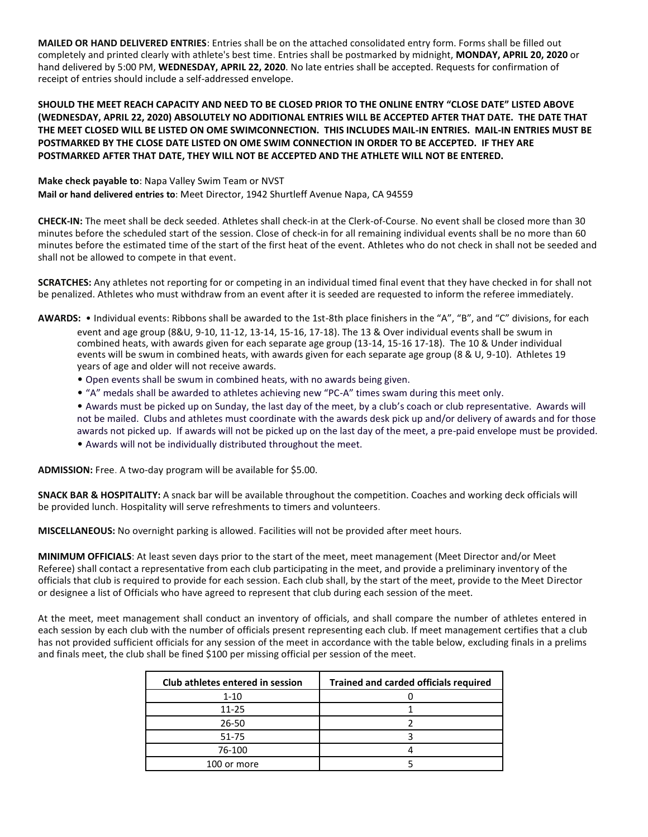**MAILED OR HAND DELIVERED ENTRIES**: Entries shall be on the attached consolidated entry form. Forms shall be filled out completely and printed clearly with athlete's best time. Entries shall be postmarked by midnight, **MONDAY, APRIL 20, 2020** or hand delivered by 5:00 PM, **WEDNESDAY, APRIL 22, 2020**. No late entries shall be accepted. Requests for confirmation of receipt of entries should include a self-addressed envelope.

**SHOULD THE MEET REACH CAPACITY AND NEED TO BE CLOSED PRIOR TO THE ONLINE ENTRY "CLOSE DATE" LISTED ABOVE (WEDNESDAY, APRIL 22, 2020) ABSOLUTELY NO ADDITIONAL ENTRIES WILL BE ACCEPTED AFTER THAT DATE. THE DATE THAT THE MEET CLOSED WILL BE LISTED ON OME SWIMCONNECTION. THIS INCLUDES MAIL-IN ENTRIES. MAIL-IN ENTRIES MUST BE POSTMARKED BY THE CLOSE DATE LISTED ON OME SWIM CONNECTION IN ORDER TO BE ACCEPTED. IF THEY ARE POSTMARKED AFTER THAT DATE, THEY WILL NOT BE ACCEPTED AND THE ATHLETE WILL NOT BE ENTERED.**

**Make check payable to**: Napa Valley Swim Team or NVST **Mail or hand delivered entries to**: Meet Director, 1942 Shurtleff Avenue Napa, CA 94559

**CHECK-IN:** The meet shall be deck seeded. Athletes shall check-in at the Clerk-of-Course. No event shall be closed more than 30 minutes before the scheduled start of the session. Close of check-in for all remaining individual events shall be no more than 60 minutes before the estimated time of the start of the first heat of the event. Athletes who do not check in shall not be seeded and shall not be allowed to compete in that event.

**SCRATCHES:** Any athletes not reporting for or competing in an individual timed final event that they have checked in for shall not be penalized. Athletes who must withdraw from an event after it is seeded are requested to inform the referee immediately.

**AWARDS:** • Individual events: Ribbons shall be awarded to the 1st-8th place finishers in the "A", "B", and "C" divisions, for each event and age group (8&U, 9-10, 11-12, 13-14, 15-16, 17-18). The 13 & Over individual events shall be swum in combined heats, with awards given for each separate age group (13-14, 15-16 17-18). The 10 & Under individual events will be swum in combined heats, with awards given for each separate age group (8 & U, 9-10). Athletes 19 years of age and older will not receive awards.

- Open events shall be swum in combined heats, with no awards being given.
- "A" medals shall be awarded to athletes achieving new "PC-A" times swam during this meet only.

• Awards must be picked up on Sunday, the last day of the meet, by a club's coach or club representative. Awards will not be mailed. Clubs and athletes must coordinate with the awards desk pick up and/or delivery of awards and for those awards not picked up. If awards will not be picked up on the last day of the meet, a pre-paid envelope must be provided.

• Awards will not be individually distributed throughout the meet.

**ADMISSION:** Free. A two-day program will be available for \$5.00.

**SNACK BAR & HOSPITALITY:** A snack bar will be available throughout the competition. Coaches and working deck officials will be provided lunch. Hospitality will serve refreshments to timers and volunteers.

**MISCELLANEOUS:** No overnight parking is allowed. Facilities will not be provided after meet hours.

**MINIMUM OFFICIALS**: At least seven days prior to the start of the meet, meet management (Meet Director and/or Meet Referee) shall contact a representative from each club participating in the meet, and provide a preliminary inventory of the officials that club is required to provide for each session. Each club shall, by the start of the meet, provide to the Meet Director or designee a list of Officials who have agreed to represent that club during each session of the meet.

At the meet, meet management shall conduct an inventory of officials, and shall compare the number of athletes entered in each session by each club with the number of officials present representing each club. If meet management certifies that a club has not provided sufficient officials for any session of the meet in accordance with the table below, excluding finals in a prelims and finals meet, the club shall be fined \$100 per missing official per session of the meet.

| Club athletes entered in session | <b>Trained and carded officials required</b> |
|----------------------------------|----------------------------------------------|
| $1 - 10$                         |                                              |
| $11 - 25$                        |                                              |
| 26-50                            |                                              |
| 51-75                            |                                              |
| 76-100                           |                                              |
| 100 or more                      |                                              |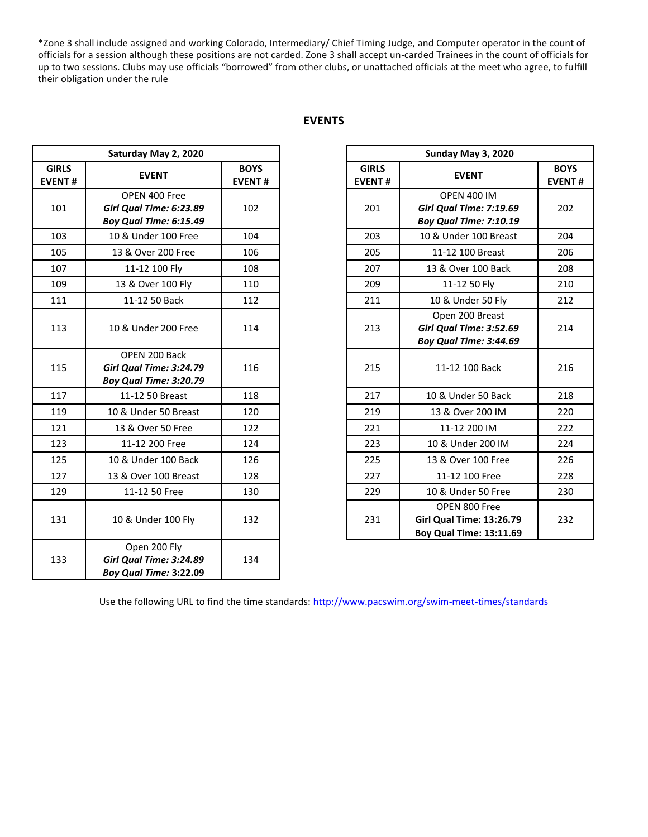\*Zone 3 shall include assigned and working Colorado, Intermediary/ Chief Timing Judge, and Computer operator in the count of officials for a session although these positions are not carded. Zone 3 shall accept un-carded Trainees in the count of officials for up to two sessions. Clubs may use officials "borrowed" from other clubs, or unattached officials at the meet who agree, to fulfill their obligation under the rule

| Saturday May 2, 2020          |                                                                           |                              |                               | Sunday May 3, 2020                                                                 |                            |
|-------------------------------|---------------------------------------------------------------------------|------------------------------|-------------------------------|------------------------------------------------------------------------------------|----------------------------|
| <b>GIRLS</b><br><b>EVENT#</b> | <b>EVENT</b>                                                              | <b>BOYS</b><br><b>EVENT#</b> | <b>GIRLS</b><br><b>EVENT#</b> | <b>EVENT</b>                                                                       | <b>BOY</b><br><b>EVENT</b> |
| 101                           | OPEN 400 Free<br><b>Girl Qual Time: 6:23.89</b><br>Boy Qual Time: 6:15.49 | 102                          | 201                           | <b>OPEN 400 IM</b><br>Girl Qual Time: 7:19.69<br>Boy Qual Time: 7:10.19            | 202                        |
| 103                           | 10 & Under 100 Free                                                       | 104                          | 203                           | 10 & Under 100 Breast                                                              | 204                        |
| 105                           | 13 & Over 200 Free                                                        | 106                          | 205                           | 11-12 100 Breast                                                                   | 206                        |
| 107                           | 11-12 100 Fly                                                             | 108                          | 207                           | 13 & Over 100 Back                                                                 | 208                        |
| 109                           | 13 & Over 100 Fly                                                         | 110                          | 209                           | 11-12 50 Fly                                                                       | 210                        |
| 111                           | 11-12 50 Back                                                             | 112                          | 211                           | 10 & Under 50 Fly                                                                  | 212                        |
| 113                           | 10 & Under 200 Free                                                       | 114                          | 213                           | Open 200 Breast<br>Girl Qual Time: 3:52.69<br>Boy Qual Time: 3:44.69               | 214                        |
| 115                           | OPEN 200 Back<br><b>Girl Qual Time: 3:24.79</b><br>Boy Qual Time: 3:20.79 | 116                          | 215                           | 11-12 100 Back                                                                     | 216                        |
| 117                           | 11-12 50 Breast                                                           | 118                          | 217                           | 10 & Under 50 Back                                                                 | 218                        |
| 119                           | 10 & Under 50 Breast                                                      | 120                          | 219                           | 13 & Over 200 IM                                                                   | 220                        |
| 121                           | 13 & Over 50 Free                                                         | 122                          | 221                           | 11-12 200 IM                                                                       | 222                        |
| 123                           | 11-12 200 Free                                                            | 124                          | 223                           | 10 & Under 200 IM                                                                  | 224                        |
| 125                           | 10 & Under 100 Back                                                       | 126                          | 225                           | 13 & Over 100 Free                                                                 | 226                        |
| 127                           | 13 & Over 100 Breast                                                      | 128                          | 227                           | 11-12 100 Free                                                                     | 228                        |
| 129                           | 11-12 50 Free                                                             | 130                          | 229                           | 10 & Under 50 Free                                                                 | 230                        |
| 131                           | 10 & Under 100 Fly                                                        | 132                          | 231                           | OPEN 800 Free<br><b>Girl Qual Time: 13:26.79</b><br><b>Boy Qual Time: 13:11.69</b> | 232                        |
| 133                           | Open 200 Fly<br>Girl Qual Time: 3:24.89<br><b>Boy Qual Time: 3:22.09</b>  | 134                          |                               |                                                                                    |                            |

|                           | Sunday May 3, 2020                                                                    |                                                                                    |                              |  |
|---------------------------|---------------------------------------------------------------------------------------|------------------------------------------------------------------------------------|------------------------------|--|
| <b>OYS</b><br><b>ENT#</b> | <b>GIRLS</b><br><b>EVENT#</b>                                                         | <b>EVENT</b>                                                                       | <b>BOYS</b><br><b>EVENT#</b> |  |
| 102                       | <b>OPEN 400 IM</b><br>Girl Qual Time: 7:19.69<br>201<br><b>Boy Qual Time: 7:10.19</b> |                                                                                    | 202                          |  |
| 104                       | 203                                                                                   | 10 & Under 100 Breast                                                              | 204                          |  |
| 106                       | 205                                                                                   | 11-12 100 Breast                                                                   | 206                          |  |
| 108                       | 207                                                                                   | 13 & Over 100 Back                                                                 | 208                          |  |
| 110                       | 209                                                                                   | 11-12 50 Fly                                                                       | 210                          |  |
| 112                       | 211                                                                                   | 10 & Under 50 Fly                                                                  | 212                          |  |
| 114                       | 213                                                                                   | Open 200 Breast<br>Girl Qual Time: 3:52.69<br>Boy Qual Time: 3:44.69               | 214                          |  |
| 116                       | 215                                                                                   | 11-12 100 Back                                                                     | 216                          |  |
| 118                       | 217                                                                                   | 10 & Under 50 Back                                                                 | 218                          |  |
| 120                       | 219                                                                                   | 13 & Over 200 IM                                                                   | 220                          |  |
| 122                       | 221                                                                                   | 11-12 200 IM                                                                       | 222                          |  |
| 124                       | 223                                                                                   | 10 & Under 200 IM                                                                  | 224                          |  |
| 126                       | 225                                                                                   | 13 & Over 100 Free                                                                 | 226                          |  |
| 128                       | 227                                                                                   | 11-12 100 Free                                                                     | 228                          |  |
| 130                       | 229                                                                                   | 10 & Under 50 Free                                                                 | 230                          |  |
| 132                       | 231                                                                                   | OPEN 800 Free<br><b>Girl Qual Time: 13:26.79</b><br><b>Boy Qual Time: 13:11.69</b> | 232                          |  |

Use the following URL to find the time standards:<http://www.pacswim.org/swim-meet-times/standards>